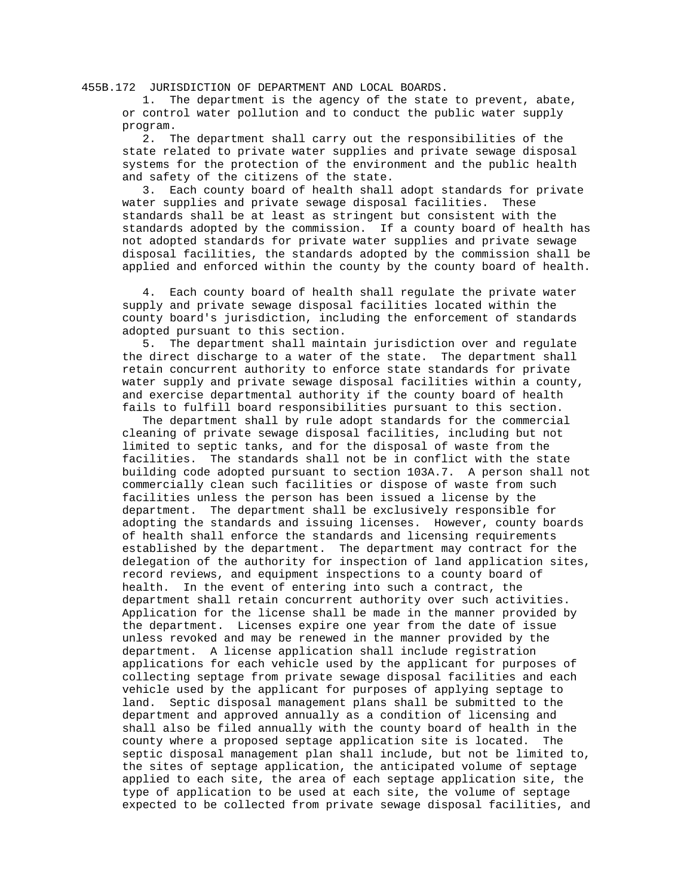455B.172 JURISDICTION OF DEPARTMENT AND LOCAL BOARDS.

 1. The department is the agency of the state to prevent, abate, or control water pollution and to conduct the public water supply program.

 2. The department shall carry out the responsibilities of the state related to private water supplies and private sewage disposal systems for the protection of the environment and the public health and safety of the citizens of the state.

 3. Each county board of health shall adopt standards for private water supplies and private sewage disposal facilities. These standards shall be at least as stringent but consistent with the standards adopted by the commission. If a county board of health has not adopted standards for private water supplies and private sewage disposal facilities, the standards adopted by the commission shall be applied and enforced within the county by the county board of health.

 4. Each county board of health shall regulate the private water supply and private sewage disposal facilities located within the county board's jurisdiction, including the enforcement of standards adopted pursuant to this section.

 5. The department shall maintain jurisdiction over and regulate the direct discharge to a water of the state. The department shall retain concurrent authority to enforce state standards for private water supply and private sewage disposal facilities within a county, and exercise departmental authority if the county board of health fails to fulfill board responsibilities pursuant to this section.

 The department shall by rule adopt standards for the commercial cleaning of private sewage disposal facilities, including but not limited to septic tanks, and for the disposal of waste from the facilities. The standards shall not be in conflict with the state building code adopted pursuant to section 103A.7. A person shall not commercially clean such facilities or dispose of waste from such facilities unless the person has been issued a license by the department. The department shall be exclusively responsible for adopting the standards and issuing licenses. However, county boards of health shall enforce the standards and licensing requirements established by the department. The department may contract for the delegation of the authority for inspection of land application sites, record reviews, and equipment inspections to a county board of health. In the event of entering into such a contract, the department shall retain concurrent authority over such activities. Application for the license shall be made in the manner provided by the department. Licenses expire one year from the date of issue unless revoked and may be renewed in the manner provided by the department. A license application shall include registration applications for each vehicle used by the applicant for purposes of collecting septage from private sewage disposal facilities and each vehicle used by the applicant for purposes of applying septage to land. Septic disposal management plans shall be submitted to the department and approved annually as a condition of licensing and shall also be filed annually with the county board of health in the county where a proposed septage application site is located. The septic disposal management plan shall include, but not be limited to, the sites of septage application, the anticipated volume of septage applied to each site, the area of each septage application site, the type of application to be used at each site, the volume of septage expected to be collected from private sewage disposal facilities, and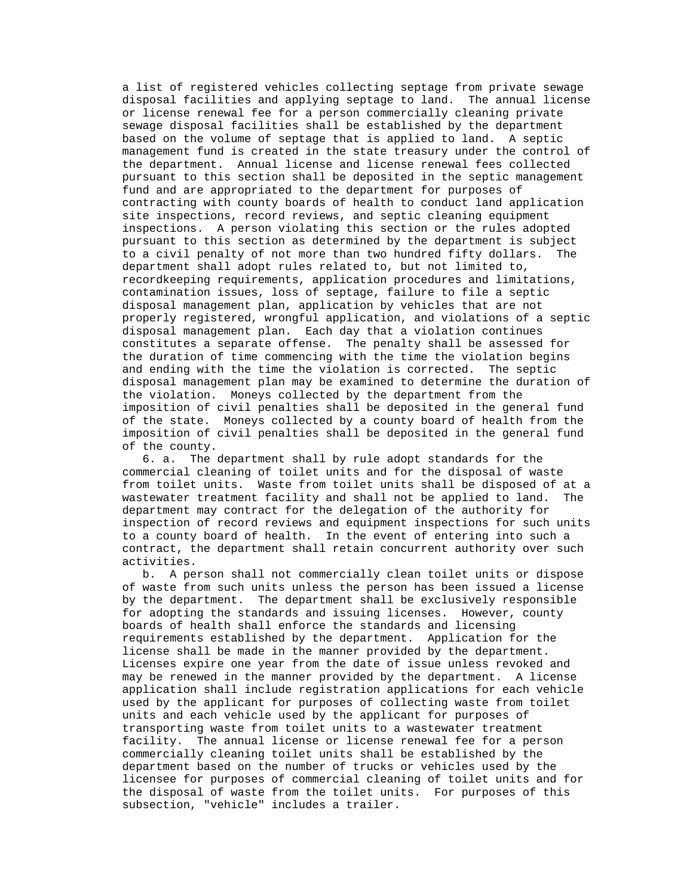a list of registered vehicles collecting septage from private sewage disposal facilities and applying septage to land. The annual license or license renewal fee for a person commercially cleaning private sewage disposal facilities shall be established by the department based on the volume of septage that is applied to land. A septic management fund is created in the state treasury under the control of the department. Annual license and license renewal fees collected pursuant to this section shall be deposited in the septic management fund and are appropriated to the department for purposes of contracting with county boards of health to conduct land application site inspections, record reviews, and septic cleaning equipment inspections. A person violating this section or the rules adopted pursuant to this section as determined by the department is subject to a civil penalty of not more than two hundred fifty dollars. The department shall adopt rules related to, but not limited to, recordkeeping requirements, application procedures and limitations, contamination issues, loss of septage, failure to file a septic disposal management plan, application by vehicles that are not properly registered, wrongful application, and violations of a septic disposal management plan. Each day that a violation continues constitutes a separate offense. The penalty shall be assessed for the duration of time commencing with the time the violation begins and ending with the time the violation is corrected. The septic disposal management plan may be examined to determine the duration of the violation. Moneys collected by the department from the imposition of civil penalties shall be deposited in the general fund of the state. Moneys collected by a county board of health from the imposition of civil penalties shall be deposited in the general fund of the county.

 6. a. The department shall by rule adopt standards for the commercial cleaning of toilet units and for the disposal of waste from toilet units. Waste from toilet units shall be disposed of at a wastewater treatment facility and shall not be applied to land. The department may contract for the delegation of the authority for inspection of record reviews and equipment inspections for such units to a county board of health. In the event of entering into such a contract, the department shall retain concurrent authority over such activities.

 b. A person shall not commercially clean toilet units or dispose of waste from such units unless the person has been issued a license by the department. The department shall be exclusively responsible for adopting the standards and issuing licenses. However, county boards of health shall enforce the standards and licensing requirements established by the department. Application for the license shall be made in the manner provided by the department. Licenses expire one year from the date of issue unless revoked and may be renewed in the manner provided by the department. A license application shall include registration applications for each vehicle used by the applicant for purposes of collecting waste from toilet units and each vehicle used by the applicant for purposes of transporting waste from toilet units to a wastewater treatment facility. The annual license or license renewal fee for a person commercially cleaning toilet units shall be established by the department based on the number of trucks or vehicles used by the licensee for purposes of commercial cleaning of toilet units and for the disposal of waste from the toilet units. For purposes of this subsection, "vehicle" includes a trailer.